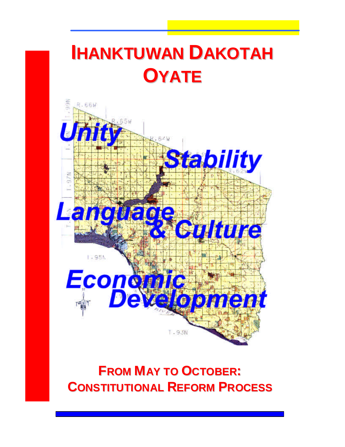# **IHANKTUWAN DAKOTAH OYATE**



# **FROM MAY TO OCTOBER: CONSTITUTIONAL REFORM PROCESS**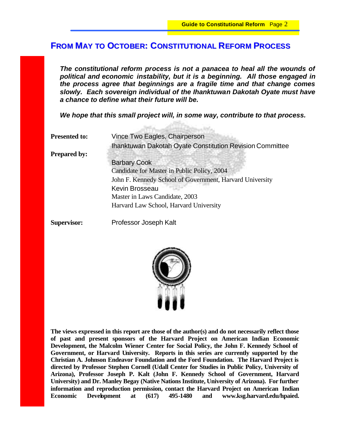## **FROM MAY TO OCTOBER: CONSTITUTIONAL REFORM PROCESS**

*The constitutional reform process is not a panacea to heal all the wounds of political and economic instability, but it is a beginning. All those engaged in the process agree that beginnings are a fragile time and that change comes slowly. Each sovereign individual of the Ihanktuwan Dakotah Oyate must have a chance to define what their future will be.* 

*We hope that this small project will, in some way, contribute to that process.*

**BillSkientris** 

| <b>Presented to:</b> | Vince Two Eagles, Chairperson                                   |
|----------------------|-----------------------------------------------------------------|
|                      | <b>Ihanktuwan Dakotah Oyate Constitution Revision Committee</b> |
| <b>Prepared by:</b>  |                                                                 |
|                      | <b>Barbary Cook</b>                                             |
|                      | Candidate for Master in Public Policy, 2004                     |
|                      | John F. Kennedy School of Government, Harvard University        |
|                      | Kevin Brosseau                                                  |
|                      | Master in Laws Candidate, 2003                                  |
|                      | Harvard Law School, Harvard University                          |
|                      |                                                                 |

**Supervisor:** Professor Joseph Kalt



**The views expressed in this report are those of the author(s) and do not necessarily reflect those of past and present sponsors of the Harvard Project on American Indian Economic Development, the Malcolm Wiener Center for Social Policy, the John F. Kennedy School of Government, or Harvard University. Reports in this series are currently supported by the Christian A. Johnson Endeavor Foundation and the Ford Foundation. The Harvard Project is directed by Professor Stephen Cornell (Udall Center for Studies in Public Policy, University of Arizona), Professor Joseph P. Kalt (John F. Kennedy School of Government, Harvard University) and Dr. Manley Begay (Native Nations Institute, University of Arizona). For further information and reproduction permission, contact the Harvard Project on American Indian Economic Development at (617) 495-1480 and www.ksg.harvard.edu/hpaied.**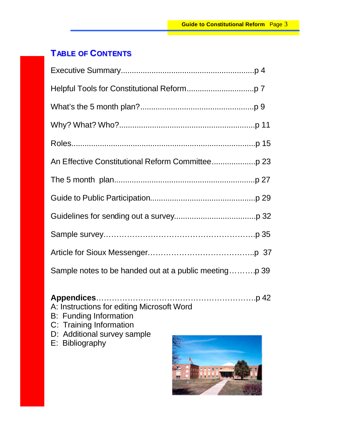# **TABLE OF CONTENTS**

### **Appendices**…………………………………………………….p 42 A: Instructions for editing Microsoft Word

- 
- B: Funding Information
- C: Training Information
- D: Additional survey sample
- E: Bibliography

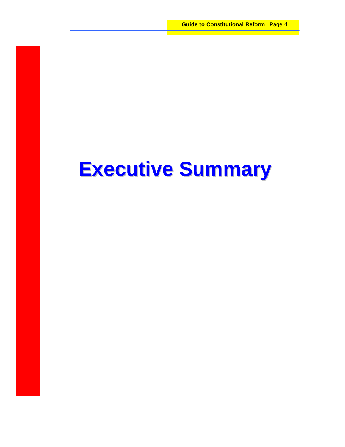# **Executive Summary**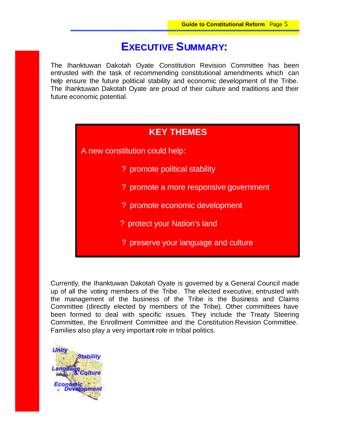# **EXECUTIVE SUMMARY:**

The Ihanktuwan Dakotah Oyate Constitution Revision Committee has been entrusted with the task of recommending constitutional amendments which can help ensure the future political stability and economic development of the Tribe. The Ihanktuwan Dakotah Oyate are proud of their culture and traditions and their future economic potential.

## **KEY THEMES**

A new constitution could help:

- ? promote political stability
- ? promote a more responsive government
- ? promote economic development
- ? protect your Nation's land
- ? preserve your language and culture

Currently, the Ihanktuwan Dakotah Oyate is governed by a General Council made up of all the voting members of the Tribe. The elected executive, entrusted with the management of the business of the Tribe is the Business and Claims Committee (directly elected by members of the Tribe). Other committees have been formed to deal with specific issues. They include the Treaty Steering Committee, the Enrollment Committee and the Constitution Revision Committee. Families also play a very important role in tribal politics.

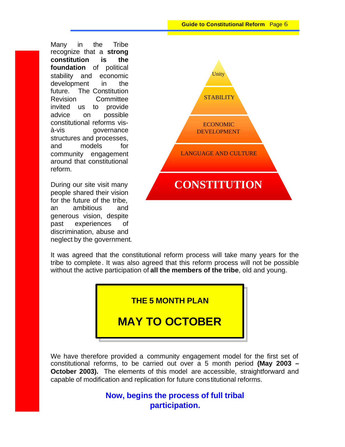Many in the Tribe recognize that a **strong constitution is the foundation** of political stability and economic development in the future. The Constitution Revision Committee invited us to provide advice on possible constitutional reforms visà-vis governance structures and processes, and models for community engagement around that constitutional reform.

During our site visit many people shared their vision for the future of the tribe, an ambitious and generous vision, despite past experiences of discrimination, abuse and neglect by the government.



It was agreed that the constitutional reform process will take many years for the tribe to complete. It was also agreed that this reform process will not be possible without the active participation of **all the members of the tribe**, old and young.

**THE 5 MONTH PLAN**

# **MAY TO OCTOBER**

We have therefore provided a community engagement model for the first set of constitutional reforms, to be carried out over a 5 month period **(May 2003 – October 2003).** The elements of this model are accessible, straightforward and capable of modification and replication for future constitutional reforms.

> **Now, begins the process of full tribal participation.**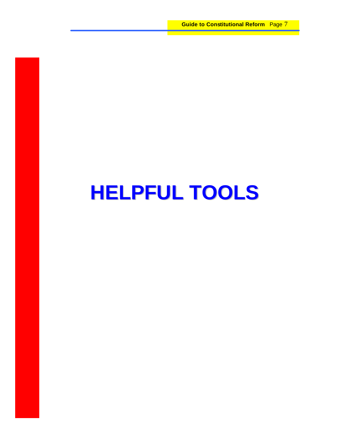**Guide to Constitutional Reform** Page 7

# **HELPFUL TOOLS**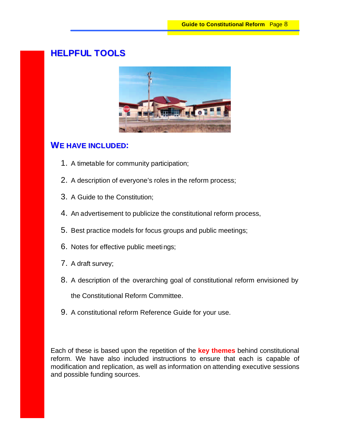# **HELPFUL TOOLS**



#### **WE HAVE INCLUDED:**

- 1. A timetable for community participation;
- 2. A description of everyone's roles in the reform process;
- 3. A Guide to the Constitution;
- 4. An advertisement to publicize the constitutional reform process,
- 5. Best practice models for focus groups and public meetings;
- 6. Notes for effective public meetings;
- 7. A draft survey;
- 8. A description of the overarching goal of constitutional reform envisioned by the Constitutional Reform Committee.
- 9. A constitutional reform Reference Guide for your use.

Each of these is based upon the repetition of the **key themes** behind constitutional reform. We have also included instructions to ensure that each is capable of modification and replication, as well as information on attending executive sessions and possible funding sources.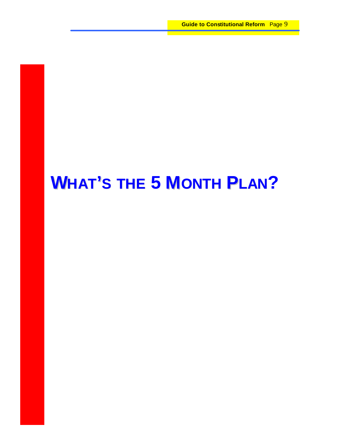# **WHAT'S THE 5 MONTH PLAN?**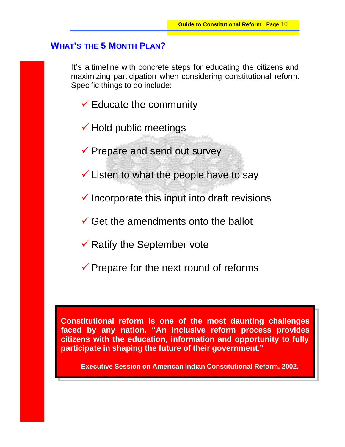## **WHAT'S THE 5 MONTH PLAN?**

It's a timeline with concrete steps for educating the citizens and maximizing participation when considering constitutional reform. Specific things to do include:

- $\checkmark$  Educate the community
- $\checkmark$  Hold public meetings
- $\checkmark$  Prepare and send out survey
- $\checkmark$  Listen to what the people have to say
- $\checkmark$  Incorporate this input into draft revisions
- $\checkmark$  Get the amendments onto the ballot
- $\checkmark$  Ratify the September vote
- $\checkmark$  Prepare for the next round of reforms

**Constitutional reform is one of the most daunting challenges faced by any nation. "An inclusive reform process provides citizens with the education, information and opportunity to fully participate in shaping the future of their government."**

**Executive Session on American Indian Constitutional Reform, 2002.**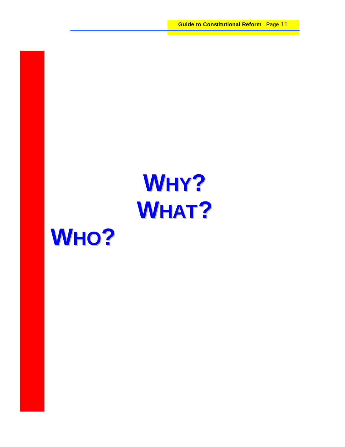

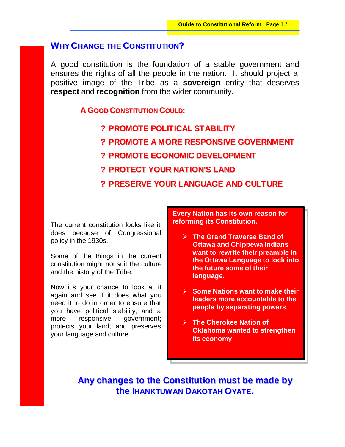## **WHY CHANGE THE CONSTITUTION?**

A good constitution is the foundation of a stable government and ensures the rights of all the people in the nation. It should project a positive image of the Tribe as a **sovereign** entity that deserves **respect** and **recognition** from the wider community.

#### **A GOOD CONSTITUTION COULD:**

### **? PROMOTE POLITICAL STABILITY**

- **? PROMOTE A MORE RESPONSIVE GOVERNMENT**
- **? PROMOTE ECONOMIC DEVELOPMENT**
- **? PROTECT YOUR NATION'S LAND**

### **? PRESERVE YOUR LANGUAGE AND CULTURE**

The current constitution looks like it does because of Congressional policy in the 1930s.

Some of the things in the current constitution might not suit the culture and the history of the Tribe.

Now it's your chance to look at it again and see if it does what you need it to do in order to ensure that you have political stability, and a more responsive government; protects your land; and preserves your language and culture.

**Every Nation has its own reason for reforming its Constitution.**

- **▶ The Grand Traverse Band of Ottawa and Chippewa Indians want to rewrite their preamble in the Ottawa Language to lock into the future some of their language.**
- ÿ **Some Nations want to make their leaders more accountable to the people by separating powers**.
- **The Cherokee Nation of Oklahoma wanted to strengthen its economy**.

**Any changes to the Constitution must be made by the IHANKTUWAN DAKOTAH OYATE.**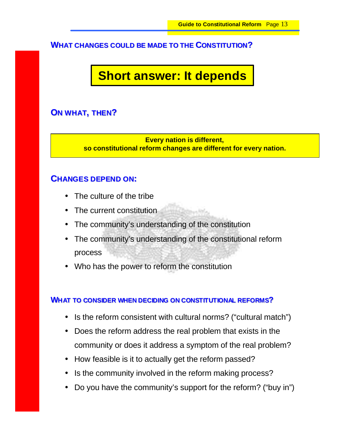#### **WHAT CHANGES COULD BE MADE TO THE CONSTITUTION?**

# **Short answer: It depends**

### **ON WHAT, THEN?**

**Every nation is different, so constitutional reform changes are different for every nation.**

#### **CHANGES DEPEND ON:**

- The culture of the tribe
- The current constitution
- The community's understanding of the constitution
- The community's understanding of the constitutional reform process
- Who has the power to reform the constitution

#### **WHAT TO CONSIDER WHEN DECIDING ON CONSTITUTIONAL REFORMS?**

- Is the reform consistent with cultural norms? ("cultural match")
- Does the reform address the real problem that exists in the community or does it address a symptom of the real problem?
- How feasible is it to actually get the reform passed?
- Is the community involved in the reform making process?
- Do you have the community's support for the reform? ("buy in")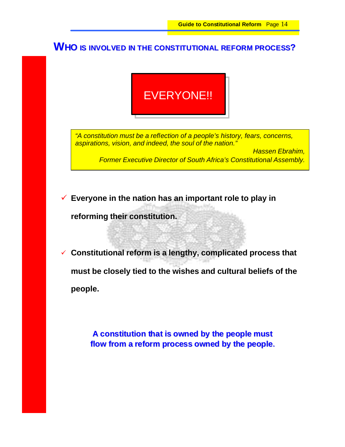# **WHO IS INVOLVED IN THE CONSTITUTIONAL REFORM PROCESS?**

# EVERYONE!!

*"A constitution must be a reflection of a people's history, fears, concerns, aspirations, vision, and indeed, the soul of the nation."*

> *Hassen Ebrahim, Former Executive Director of South Africa's Constitutional Assembly.*

¸ **Everyone in the nation has an important role to play in** 

**reforming their constitution.** 

¸ **Constitutional reform is a lengthy, complicated process that must be closely tied to the wishes and cultural beliefs of the people.**

> **A constitution that is owned by the people must flow from a reform process owned by the people.**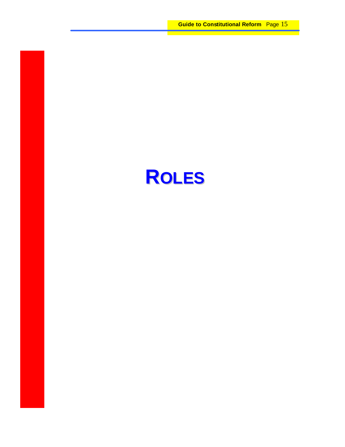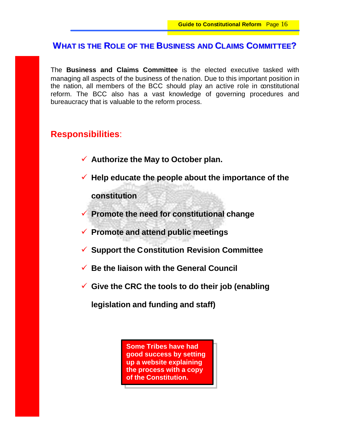## **WHAT IS THE ROLE OF THE BUSINESS AND CLAIMS COMMITTEE?**

The **Business and Claims Committee** is the elected executive tasked with managing all aspects of the business of the nation. Due to this important position in the nation, all members of the BCC should play an active role in constitutional reform. The BCC also has a vast knowledge of governing procedures and bureaucracy that is valuable to the reform process.

# **Responsibilities**:

- ¸ **Authorize the May to October plan.**
- ¸ **Help educate the people about the importance of the constitution**
- ¸ **Promote the need for constitutional change**
- ¸ **Promote and attend public meetings**
- ¸ **Support the Constitution Revision Committee**
- ¸ **Be the liaison with the General Council**
- ¸ **Give the CRC the tools to do their job (enabling**

**legislation and funding and staff)**

**Some Tribes have had good success by setting up a website explaining the process with a copy of the Constitution.**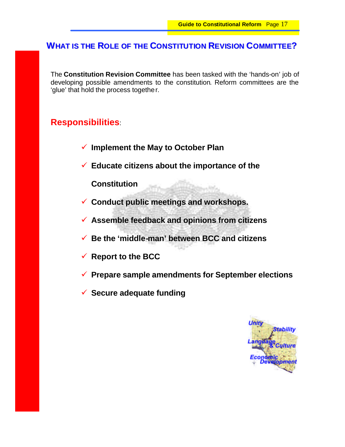# **WHAT IS THE ROLE OF THE CONSTITUTION REVISION COMMITTEE?**

The **Constitution Revision Committee** has been tasked with the 'hands-on' job of developing possible amendments to the constitution. Reform committees are the 'glue' that hold the process together.

## **Responsibilities**:

- ¸ **Implement the May to October Plan**
- ¸ **Educate citizens about the importance of the**

**Constitution**

- ¸ **Conduct public meetings and workshops.**
- ¸ **Assemble feedback and opinions from citizens**
- ¸ **Be the 'middle-man' between BCC and citizens**
- ¸ **Report to the BCC**
- ¸ **Prepare sample amendments for September elections**
- ¸ **Secure adequate funding**

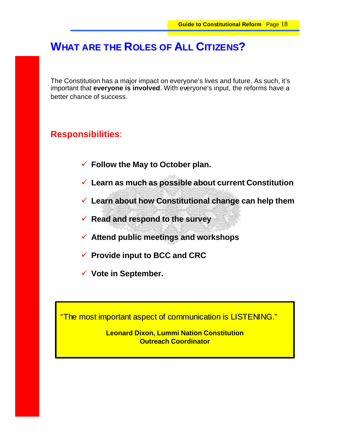# **WHAT ARE THE ROLES OF ALL CITIZENS?**

The Constitution has a major impact on everyone's lives and future. As such, it's important that **everyone is involved**. With everyone's input, the reforms have a better chance of success.

## **Responsibilities**:

- ¸ **Follow the May to October plan.**
- ¸ **Learn as much as possible about current Constitution**
- ¸ **Learn about how Constitutional change can help them**
- ¸ **Read and respond to the survey**
- ¸ **Attend public meetings and workshops**
- ¸ **Provide input to BCC and CRC**
- ¸ **Vote in September.**

"The most important aspect of communication is LISTENING."

**Leonard Dixon, Lummi Nation Constitution Outreach Coordinator**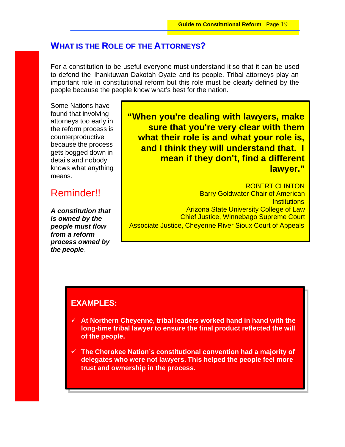# **WHAT IS THE ROLE OF THE ATTORNEYS?**

For a constitution to be useful everyone must understand it so that it can be used to defend the Ihanktuwan Dakotah Oyate and its people. Tribal attorneys play an important role in constitutional reform but this role must be clearly defined by the people because the people know what's best for the nation.

Some Nations have found that involving attorneys too early in the reform process is counterproductive because the process gets bogged down in details and nobody knows what anything means.

# Reminder!!

*A constitution that is owned by the people must flow from a reform process owned by the people*.

 **"When you're dealing with lawyers, make sure that you're very clear with them what their role is and what your role is, and I think they will understand that. I mean if they don't, find a different lawyer."**

ROBERT CLINTON Barry Goldwater Chair of American **Institutions** Arizona State University College of Law Chief Justice, Winnebago Supreme Court Associate Justice, Cheyenne River Sioux Court of Appeals

## **EXAMPLES:**

- ¸ **At Northern Cheyenne, tribal leaders worked hand in hand with the long-time tribal lawyer to ensure the final product reflected the will of the people.**
- ¸ **The Cherokee Nation's constitutional convention had a majority of delegates who were not lawyers. This helped the people feel more trust and ownership in the process.**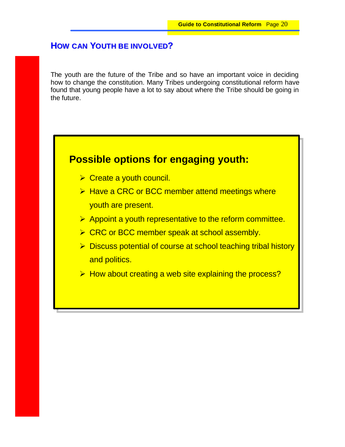# **HOW CAN YOUTH BE INVOLVED?**

The youth are the future of the Tribe and so have an important voice in deciding how to change the constitution. Many Tribes undergoing constitutional reform have found that young people have a lot to say about where the Tribe should be going in the future.

# **Possible options for engaging youth:**

- $\triangleright$  Create a youth council.
- $\triangleright$  Have a CRC or BCC member attend meetings where youth are present.
- $\triangleright$  Appoint a youth representative to the reform committee.
- $\triangleright$  CRC or BCC member speak at school assembly.
- ▶ Discuss potential of course at school teaching tribal history and politics.
- $\triangleright$  How about creating a web site explaining the process?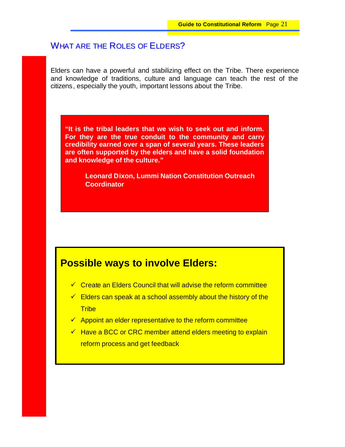# WHAT ARE THE ROLES OF ELDERS?

Elders can have a powerful and stabilizing effect on the Tribe. There experience and knowledge of traditions, culture and language can teach the rest of the citizens, especially the youth, important lessons about the Tribe.

**"It is the tribal leaders that we wish to seek out and inform. For they are the true conduit to the community and carry credibility earned over a span of several years. These leaders are often supported by the elders and have a solid foundation and knowledge of the culture."**

> **Leonard Dixon, Lummi Nation Constitution Outreach Coordinator**

# **Possible ways to involve Elders:**

- $\checkmark$  Create an Elders Council that will advise the reform committee
- $\checkmark$  Elders can speak at a school assembly about the history of the **Tribe**
- $\sqrt{ }$  Appoint an elder representative to the reform committee
- $\checkmark$  Have a BCC or CRC member attend elders meeting to explain reform process and get feedback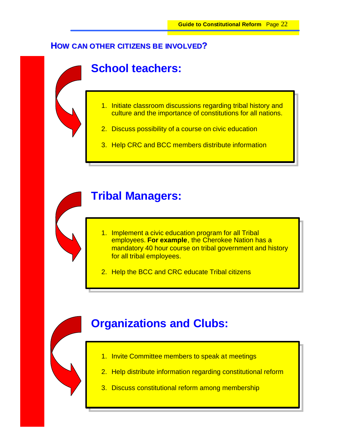## **HOW CAN OTHER CITIZENS BE INVOLVED?**

# **School teachers:**

- 1. Initiate classroom discussions regarding tribal history and culture and the importance of constitutions for all nations.
- 2. Discuss possibility of a course on civic education
- 3. Help CRC and BCC members distribute information



# **Tribal Managers:**

- 1. Implement a civic education program for all Tribal employees. **For example**, the Cherokee Nation has a mandatory 40 hour course on tribal government and history for all tribal employees.
- 2. Help the BCC and CRC educate Tribal citizens

# **Organizations and Clubs:**

- 1. Invite Committee members to speak at meetings
- 2. Help distribute information regarding constitutional reform
- 3. Discuss constitutional reform among membership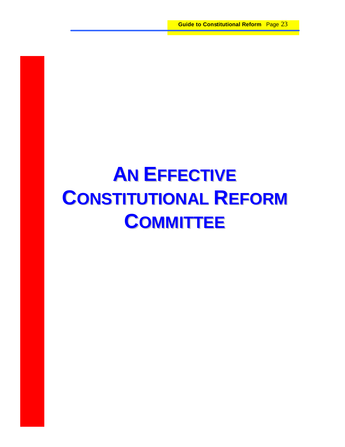# **AN EFFECTIVE CONSTITUTIONAL REFORM COMMITTEE**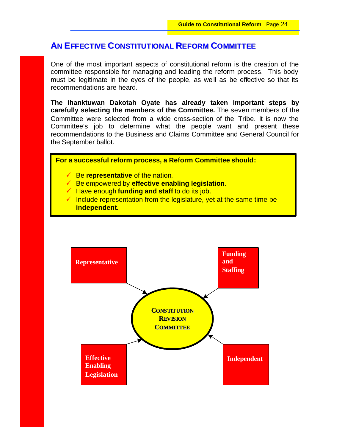# **AN EFFECTIVE CONSTITUTIONAL REFORM COMMITTEE**

One of the most important aspects of constitutional reform is the creation of the committee responsible for managing and leading the reform process. This body must be legitimate in the eyes of the people, as well as be effective so that its recommendations are heard.

**The Ihanktuwan Dakotah Oyate has already taken important steps by carefully selecting the members of the Committee.** The seven members of the Committee were selected from a wide cross-section of the Tribe. It is now the Committee's job to determine what the people want and present these recommendations to the Business and Claims Committee and General Council for the September ballot.

**For a successful reform process, a Reform Committee should:**

- ¸ Be **representative** of the nation.
- ¸ Be empowered by **effective enabling legislation**.
- ¸ Have enough **funding and staff** to do its job.
- $\checkmark$  Include representation from the legislature, yet at the same time be **independent**.

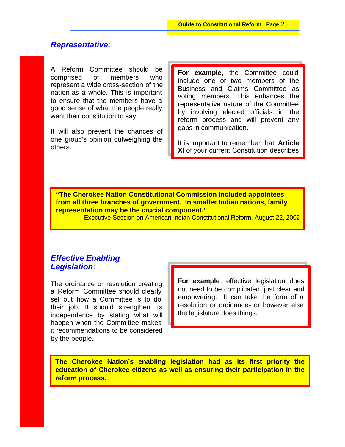### *Representative:*

A Reform Committee should be comprised of members who represent a wide cross-section of the nation as a whole. This is important to ensure that the members have a good sense of what the people really want their constitution to say.

It will also prevent the chances of one group's opinion outweighing the others.

**For example**, the Committee could include one or two members of the Business and Claims Committee as voting members. This enhances the representative nature of the Committee by involving elected officials in the reform process and will prevent any gaps in communication.

It is important to remember that **Article XI** of your current Constitution describes

**"The Cherokee Nation Constitutional Commission included appointees from all three branches of government. In smaller Indian nations, family representation may be the crucial component."**

Executive Session on American Indian Constitutional Reform, August 22, 2002

## *Effective Enabling Legislation*:

The ordinance or resolution creating a Reform Committee should clearly set out how a Committee is to do their job. It should strengthen its independence by stating what will happen when the Committee makes it recommendations to be considered by the people.

**For example**, effective legislation does not need to be complicated, just clear and empowering. It can take the form of a resolution or ordinance- or however else the legislature does things.

**The Cherokee Nation's enabling legislation had as its first priority the education of Cherokee citizens as well as ensuring their participation in the reform process.**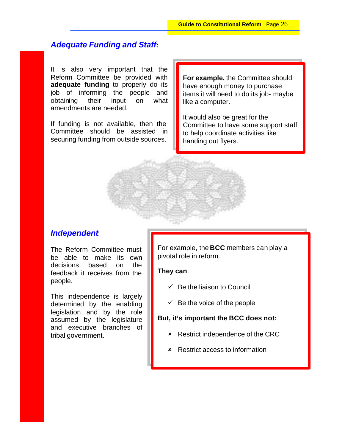## *Adequate Funding and Staff:*

It is also very important that the Reform Committee be provided with **adequate funding** to properly do its job of informing the people and obtaining their input on what amendments are needed.

If funding is not available, then the Committee should be assisted in securing funding from outside sources.

**For example,** the Committee should have enough money to purchase items it will need to do its job- maybe like a computer.

It would also be great for the Committee to have some support staff to help coordinate activities like handing out flyers.

#### *Independent*:

The Reform Committee must be able to make its own decisions based on the feedback it receives from the people.

This independence is largely determined by the enabling legislation and by the role assumed by the legislature and executive branches of tribal government.

For example, the **BCC** members can play a pivotal role in reform.

#### **They can**:

- $\checkmark$  Be the liaison to Council
- $\checkmark$  Be the voice of the people

#### **But, it's important the BCC does not:**

- **\*** Restrict independence of the CRC
- **\*** Restrict access to information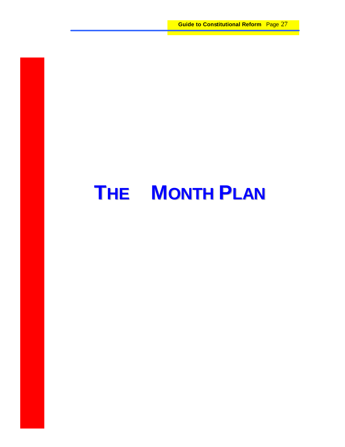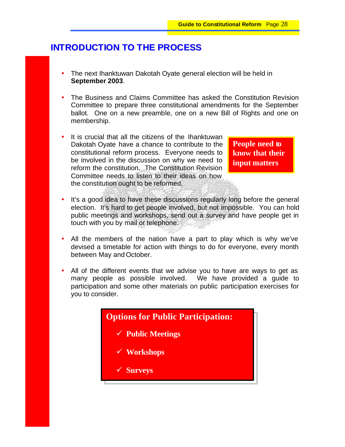# **INTRODUCTION TO THE PROCESS**

- The next Ihanktuwan Dakotah Oyate general election will be held in **September 2003**.
- The Business and Claims Committee has asked the Constitution Revision Committee to prepare three constitutional amendments for the September ballot. One on a new preamble, one on a new Bill of Rights and one on membership.
- It is crucial that all the citizens of the Ihanktuwan Dakotah Oyate have a chance to contribute to the constitutional reform process. Everyone needs to be involved in the discussion on why we need to reform the constitution. The Constitution Revision Committee needs to listen to their ideas on how the constitution ought to be reformed.

**People need to know that their input matters**

- It's a good idea to have these discussions regularly long before the general election. It's hard to get people involved, but not impossible. You can hold public meetings and workshops, send out a survey and have people get in touch with you by mail or telephone.
- All the members of the nation have a part to play which is why we've devised a timetable for action with things to do for everyone, every month between May and October.
- All of the different events that we advise you to have are ways to get as many people as possible involved. We have provided a guide to participation and some other materials on public participation exercises for you to consider.

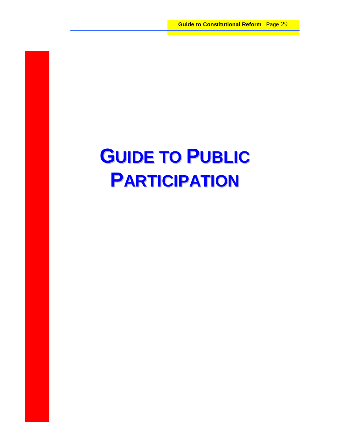# **GUIDE TO PUBLIC PARTICIPATION**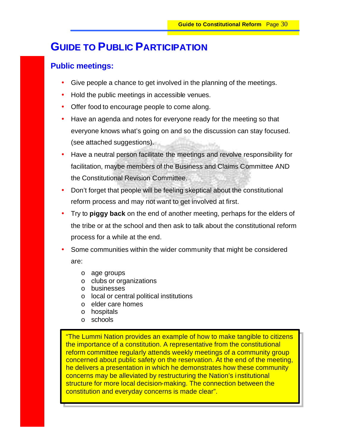# **GUIDE TO PUBLIC PARTICIPATION**

### **Public meetings:**

- Give people a chance to get involved in the planning of the meetings.
- Hold the public meetings in accessible venues.
- Offer food to encourage people to come along.
- Have an agenda and notes for everyone ready for the meeting so that everyone knows what's going on and so the discussion can stay focused. (see attached suggestions).
- Have a neutral person facilitate the meetings and revolve responsibility for facilitation, maybe members of the Business and Claims Committee AND the Constitutional Revision Committee.
- Don't forget that people will be feeling skeptical about the constitutional reform process and may not want to get involved at first.
- Try to **piggy back** on the end of another meeting, perhaps for the elders of the tribe or at the school and then ask to talk about the constitutional reform process for a while at the end.
- Some communities within the wider community that might be considered are:
	- o age groups
	- o clubs or organizations
	- o businesses
	- o local or central political institutions
	- o elder care homes
	- o hospitals
	- o schools

"The Lummi Nation provides an example of how to make tangible to citizens the importance of a constitution. A representative from the constitutional reform committee regularly attends weekly meetings of a community group concerned about public safety on the reservation. At the end of the meeting, he delivers a presentation in which he demonstrates how these community concerns may be alleviated by restructuring the Nation's institutional structure for more local decision-making. The connection between the constitution and everyday concerns is made clear".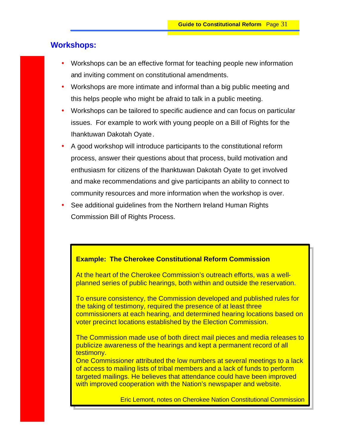### **Workshops:**

- Workshops can be an effective format for teaching people new information and inviting comment on constitutional amendments.
- Workshops are more intimate and informal than a big public meeting and this helps people who might be afraid to talk in a public meeting.
- Workshops can be tailored to specific audience and can focus on particular issues. For example to work with young people on a Bill of Rights for the Ihanktuwan Dakotah Oyate.
- A good workshop will introduce participants to the constitutional reform process, answer their questions about that process, build motivation and enthusiasm for citizens of the Ihanktuwan Dakotah Oyate to get involved and make recommendations and give participants an ability to connect to community resources and more information when the workshop is over.
- See additional guidelines from the Northern Ireland Human Rights Commission Bill of Rights Process.

#### **Example: The Cherokee Constitutional Reform Commission**

At the heart of the Cherokee Commission's outreach efforts, was a wellplanned series of public hearings, both within and outside the reservation.

To ensure consistency, the Commission developed and published rules for the taking of testimony, required the presence of at least three commissioners at each hearing, and determined hearing locations based on voter precinct locations established by the Election Commission.

The Commission made use of both direct mail pieces and media releases to publicize awareness of the hearings and kept a permanent record of all testimony.

One Commissioner attributed the low numbers at several meetings to a lack of access to mailing lists of tribal members and a lack of funds to perform targeted mailings. He believes that attendance could have been improved with improved cooperation with the Nation's newspaper and website.

Eric Lemont, notes on Cherokee Nation Constitutional Commission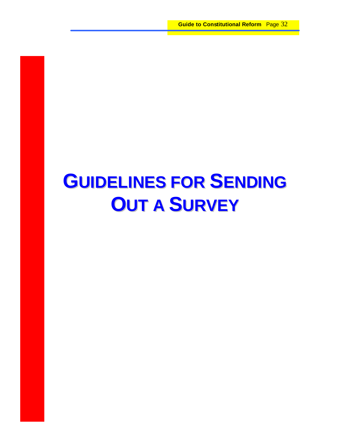# **GUIDELINES FOR SENDING OUT A SURVEY**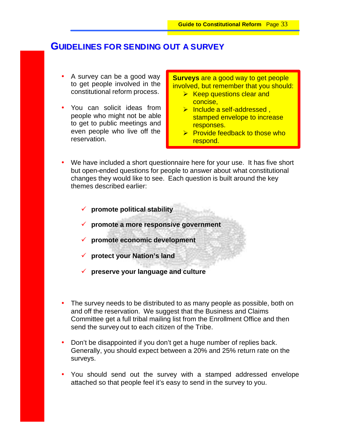### **GUIDELINES FOR SENDING OUT A SURVEY**

- A survey can be a good way to get people involved in the constitutional reform process.
- You can solicit ideas from people who might not be able to get to public meetings and even people who live off the reservation.

**Surveys** are a good way to get people involved, but remember that you should:

- $\triangleright$  Keep questions clear and concise,
- $\triangleright$  Include a self-addressed. stamped envelope to increase responses.
- $\triangleright$  Provide feedback to those who respond.
- We have included a short questionnaire here for your use. It has five short but open-ended questions for people to answer about what constitutional changes they would like to see. Each question is built around the key themes described earlier:
	- ¸ **promote political stability**
	- ¸ **promote a more responsive government**
	- ¸ **promote economic development**
	- ¸ **protect your Nation's land**
	- ¸ **preserve your language and culture**
- The survey needs to be distributed to as many people as possible, both on and off the reservation. We suggest that the Business and Claims Committee get a full tribal mailing list from the Enrollment Office and then send the survey out to each citizen of the Tribe.
- Don't be disappointed if you don't get a huge number of replies back. Generally, you should expect between a 20% and 25% return rate on the surveys.
- You should send out the survey with a stamped addressed envelope attached so that people feel it's easy to send in the survey to you.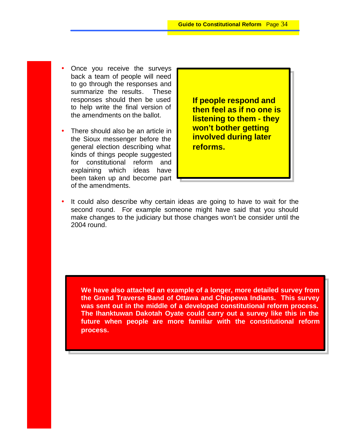- Once you receive the surveys back a team of people will need to go through the responses and summarize the results. These responses should then be used to help write the final version of the amendments on the ballot.
- There should also be an article in the Sioux messenger before the general election describing what kinds of things people suggested for constitutional reform and explaining which ideas have been taken up and become part of the amendments.

**If people respond and then feel as if no one is listening to them - they won't bother getting involved during later reforms.**

It could also describe why certain ideas are going to have to wait for the second round. For example someone might have said that you should make changes to the judiciary but those changes won't be consider until the 2004 round.

**We have also attached an example of a longer, more detailed survey from the Grand Traverse Band of Ottawa and Chippewa Indians. This survey was sent out in the middle of a developed constitutional reform process. The Ihanktuwan Dakotah Oyate could carry out a survey like this in the future when people are more familiar with the constitutional reform process.**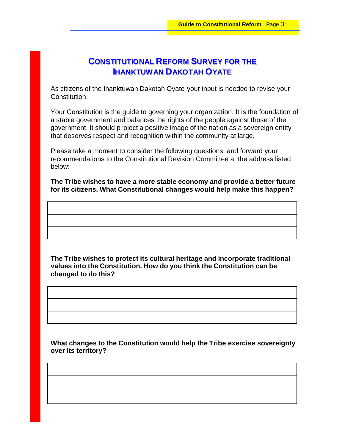# **CONSTITUTIONAL REFORM SURVEY FOR THE IHANKTUWAN DAKOTAH OYATE**

As citizens of the Ihanktuwan Dakotah Oyate your input is needed to revise your Constitution.

Your Constitution is the guide to governing your organization. It is the foundation of a stable government and balances the rights of the people against those of the government. It should project a positive image of the nation as a sovereign entity that deserves respect and recognition within the community at large.

Please take a moment to consider the following questions, and forward your recommendations to the Constitutional Revision Committee at the address listed below:

**The Tribe wishes to have a more stable economy and provide a better future for its citizens. What Constitutional changes would help make this happen?**

**The Tribe wishes to protect its cultural heritage and incorporate traditional values into the Constitution. How do you think the Constitution can be changed to do this?**

**What changes to the Constitution would help the Tribe exercise sovereignty over its territory?**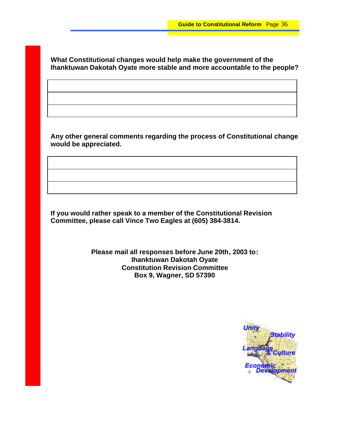**What Constitutional changes would help make the government of the Ihanktuwan Dakotah Oyate more stable and more accountable to the people?**

**Any other general comments regarding the process of Constitutional change would be appreciated.** 

**If you would rather speak to a member of the Constitutional Revision Committee, please call Vince Two Eagles at (605) 384-3814.**

> **Please mail all responses before June 20th, 2003 to: Ihanktuwan Dakotah Oyate Constitution Revision Committee Box 9, Wagner, SD 57390**

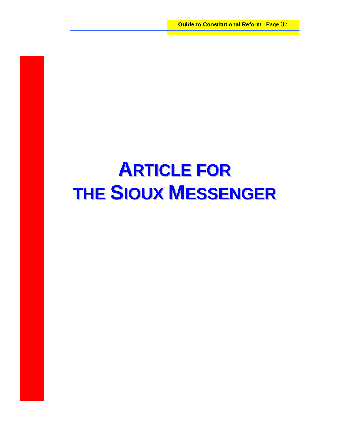# **ARTICLE FOR THE SIOUX MESSENGER**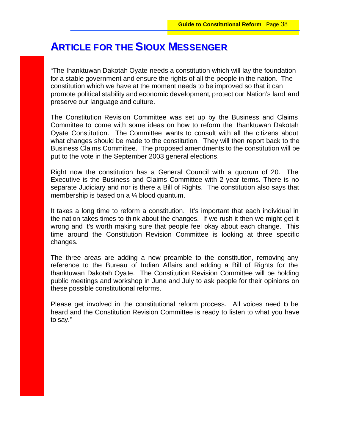# **ARTICLE FOR THE SIOUX MESSENGER**

"The Ihanktuwan Dakotah Oyate needs a constitution which will lay the foundation for a stable government and ensure the rights of all the people in the nation. The constitution which we have at the moment needs to be improved so that it can promote political stability and economic development, protect our Nation's land and preserve our language and culture.

The Constitution Revision Committee was set up by the Business and Claims Committee to come with some ideas on how to reform the Ihanktuwan Dakotah Oyate Constitution. The Committee wants to consult with all the citizens about what changes should be made to the constitution. They will then report back to the Business Claims Committee. The proposed amendments to the constitution will be put to the vote in the September 2003 general elections.

Right now the constitution has a General Council with a quorum of 20. The Executive is the Business and Claims Committee with 2 year terms. There is no separate Judiciary and nor is there a Bill of Rights. The constitution also says that membership is based on a ¼ blood quantum.

It takes a long time to reform a constitution. It's important that each individual in the nation takes times to think about the changes. If we rush it then we might get it wrong and it's worth making sure that people feel okay about each change. This time around the Constitution Revision Committee is looking at three specific changes.

The three areas are adding a new preamble to the constitution, removing any reference to the Bureau of Indian Affairs and adding a Bill of Rights for the Ihanktuwan Dakotah Oyate. The Constitution Revision Committee will be holding public meetings and workshop in June and July to ask people for their opinions on these possible constitutional reforms.

Please get involved in the constitutional reform process. All voices need to be heard and the Constitution Revision Committee is ready to listen to what you have to say."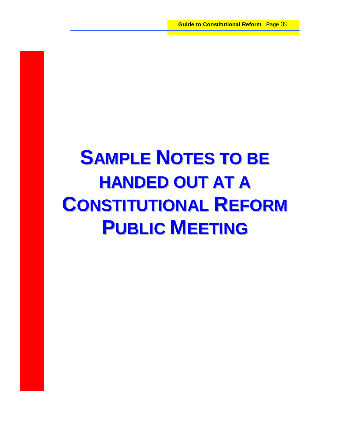# **SAMPLE NOTES TO BE HANDED OUT AT A CONSTITUTIONAL REFORM PUBLIC MEETING**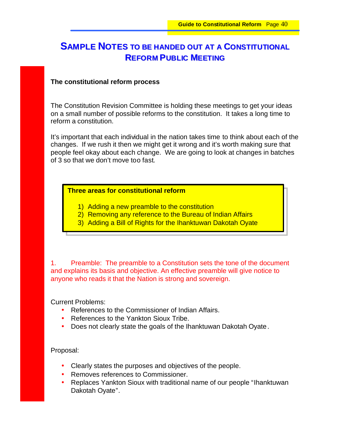# **SAMPLE NOTES TO BE HANDED OUT AT A CONSTITUTIONAL REFORM PUBLIC MEETING**

#### **The constitutional reform process**

The Constitution Revision Committee is holding these meetings to get your ideas on a small number of possible reforms to the constitution. It takes a long time to reform a constitution.

It's important that each individual in the nation takes time to think about each of the changes. If we rush it then we might get it wrong and it's worth making sure that people feel okay about each change. We are going to look at changes in batches of 3 so that we don't move too fast.

#### **Three areas for constitutional reform**

- 1) Adding a new preamble to the constitution
- 2) Removing any reference to the Bureau of Indian Affairs
- 3) Adding a Bill of Rights for the Ihanktuwan Dakotah Oyate

1. Preamble: The preamble to a Constitution sets the tone of the document and explains its basis and objective. An effective preamble will give notice to anyone who reads it that the Nation is strong and sovereign.

Current Problems:

- References to the Commissioner of Indian Affairs.
- References to the Yankton Sioux Tribe.
- Does not clearly state the goals of the Ihanktuwan Dakotah Oyate.

Proposal:

- Clearly states the purposes and objectives of the people.
- Removes references to Commissioner.
- Replaces Yankton Sioux with traditional name of our people "Ihanktuwan" Dakotah Oyate".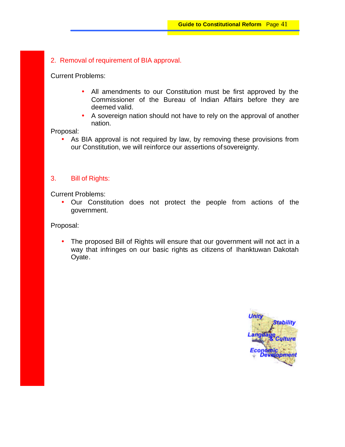2. Removal of requirement of BIA approval.

Current Problems:

- All amendments to our Constitution must be first approved by the Commissioner of the Bureau of Indian Affairs before they are deemed valid.
- A sovereign nation should not have to rely on the approval of another nation.

Proposal:

• As BIA approval is not required by law, by removing these provisions from our Constitution, we will reinforce our assertions of sovereignty.

#### 3. Bill of Rights:

Current Problems:

• Our Constitution does not protect the people from actions of the government.

Proposal:

• The proposed Bill of Rights will ensure that our government will not act in a way that infringes on our basic rights as citizens of Ihanktuwan Dakotah Oyate.

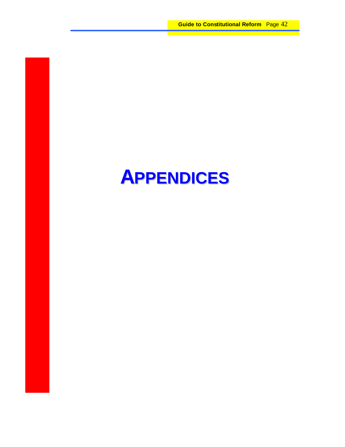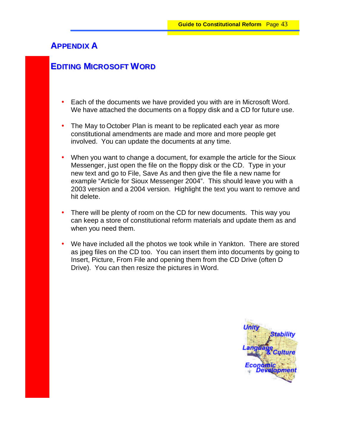## **APPENDIX A**

## **EDITING MICROSOFT WORD**

- Each of the documents we have provided you with are in Microsoft Word. We have attached the documents on a floppy disk and a CD for future use.
- The May to October Plan is meant to be replicated each year as more constitutional amendments are made and more and more people get involved. You can update the documents at any time.
- When you want to change a document, for example the article for the Sioux Messenger, just open the file on the floppy disk or the CD. Type in your new text and go to File, Save As and then give the file a new name for example "Article for Sioux Messenger 2004". This should leave you with a 2003 version and a 2004 version. Highlight the text you want to remove and hit delete.
- There will be plenty of room on the CD for new documents. This way you can keep a store of constitutional reform materials and update them as and when you need them.
- We have included all the photos we took while in Yankton. There are stored as jpeg files on the CD too. You can insert them into documents by going to Insert, Picture, From File and opening them from the CD Drive (often D Drive). You can then resize the pictures in Word.

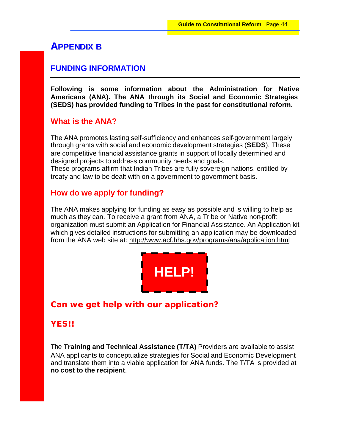## **APPENDIX B**

#### **FUNDING INFORMATION**

**Following is some information about the Administration for Native Americans (ANA). The ANA through its Social and Economic Strategies (SEDS) has provided funding to Tribes in the past for constitutional reform.**

#### **What is the ANA?**

The ANA promotes lasting self-sufficiency and enhances self-government largely through grants with social and economic development strategies (**SEDS**). These are competitive financial assistance grants in support of locally determined and designed projects to address community needs and goals. These programs affirm that Indian Tribes are fully sovereign nations, entitled by treaty and law to be dealt with on a government to government basis.

#### **How do we apply for funding?**

The ANA makes applying for funding as easy as possible and is willing to help as much as they can. To receive a grant from ANA, a Tribe or Native non-profit organization must submit an Application for Financial Assistance. An Application kit which gives detailed instructions for submitting an application may be downloaded from the ANA web site at: http://www.acf.hhs.gov/programs/ana/application.html



## **Can we get help with our application?**

#### **YES!!**

The **Training and Technical Assistance (T/TA)** Providers are available to assist ANA applicants to conceptualize strategies for Social and Economic Development and translate them into a viable application for ANA funds. The T/TA is provided at **no cost to the recipient**.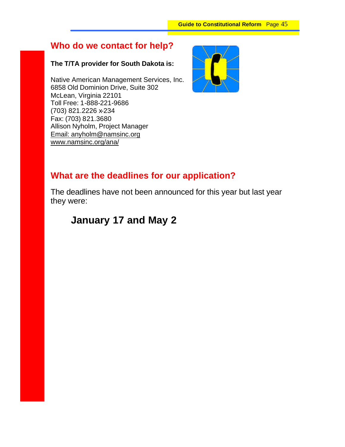# **Who do we contact for help?**

#### **The T/TA provider for South Dakota is:**

Native American Management Services, Inc. 6858 Old Dominion Drive, Suite 302 McLean, Virginia 22101 Toll Free: 1-888-221-9686 (703) 821.2226 x-234 Fax: (703) 821.3680 Allison Nyholm, Project Manager Email: anyholm@namsinc.org www.namsinc.org/ana/



# **What are the deadlines for our application?**

The deadlines have not been announced for this year but last year they were:

# **January 17 and May 2**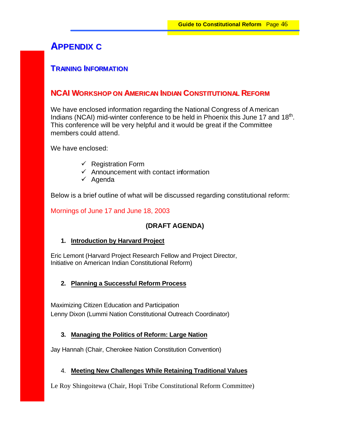# **APPENDIX C**

#### **TRAINING INFORMATION**

#### **NCAI WORKSHOP ON AMERICAN INDIAN CONSTITUTIONAL REFORM**

We have enclosed information regarding the National Congress of American Indians (NCAI) mid-winter conference to be held in Phoenix this June 17 and  $18<sup>th</sup>$ . This conference will be very helpful and it would be great if the Committee members could attend.

We have enclosed:

- $\checkmark$  Registration Form
- $\checkmark$  Announcement with contact information
- $\checkmark$  Agenda

Below is a brief outline of what will be discussed regarding constitutional reform:

#### Mornings of June 17 and June 18, 2003

#### **(DRAFT AGENDA)**

#### **1. Introduction by Harvard Project**

Eric Lemont (Harvard Project Research Fellow and Project Director, Initiative on American Indian Constitutional Reform)

#### **2. Planning a Successful Reform Process**

Maximizing Citizen Education and Participation Lenny Dixon (Lummi Nation Constitutional Outreach Coordinator)

#### **3. Managing the Politics of Reform: Large Nation**

Jay Hannah (Chair, Cherokee Nation Constitution Convention)

#### 4. **Meeting New Challenges While Retaining Traditional Values**

Le Roy Shingoitewa (Chair, Hopi Tribe Constitutional Reform Committee)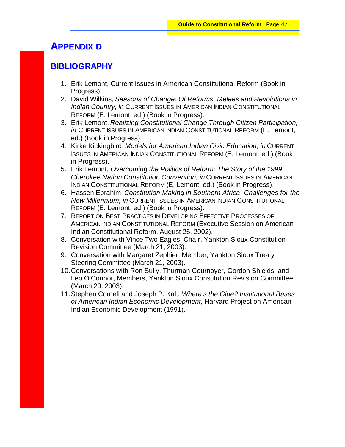# **APPENDIX D**

## **BIBLIOGRAPHY**

- 1. Erik Lemont, Current Issues in American Constitutional Reform (Book in Progress).
- 2. David Wilkins, *Seasons of Change: Of Reforms, Melees and Revolutions in Indian Country, in* CURRENT ISSUES IN AMERICAN INDIAN CONSTITUTIONAL REFORM (E. Lemont, ed.) (Book in Progress).
- 3. Erik Lemont, *Realizing Constitutional Change Through Citizen Participation, in* CURRENT ISSUES IN AMERICAN INDIAN CONSTITUTIONAL REFORM (E. Lemont, ed.) (Book in Progress).
- 4. Kirke Kickingbird, *Models for American Indian Civic Education, in* CURRENT ISSUES IN AMERICAN INDIAN CONSTITUTIONAL REFORM (E. Lemont, ed.) (Book in Progress).
- 5. Erik Lemont, *Overcoming the Politics of Reform: The Story of the 1999 Cherokee Nation Constitution Convention, in* CURRENT ISSUES IN AMERICAN INDIAN CONSTITUTIONAL REFORM (E. Lemont, ed.) (Book in Progress).
- 6. Hassen Ebrahim, *Constitution-Making in Southern Africa- Challenges for the New Millennium, in* CURRENT ISSUES IN AMERICAN INDIAN CONSTITUTIONAL REFORM (E. Lemont, ed.) (Book in Progress).
- 7. REPORT ON BEST PRACTICES IN DEVELOPING EFFECTIVE PROCESSES OF AMERICAN INDIAN CONSTITUTIONAL REFORM (Executive Session on American Indian Constitutional Reform, August 26, 2002).
- 8. Conversation with Vince Two Eagles, Chair, Yankton Sioux Constitution Revision Committee (March 21, 2003).
- 9. Conversation with Margaret Zephier, Member, Yankton Sioux Treaty Steering Committee (March 21, 2003).
- 10.Conversations with Ron Sully, Thurman Cournoyer, Gordon Shields, and Leo O'Connor, Members, Yankton Sioux Constitution Revision Committee (March 20, 2003).
- 11.Stephen Cornell and Joseph P. Kalt, *Where's the Glue? Institutional Bases of American Indian Economic Development,* Harvard Project on American Indian Economic Development (1991).